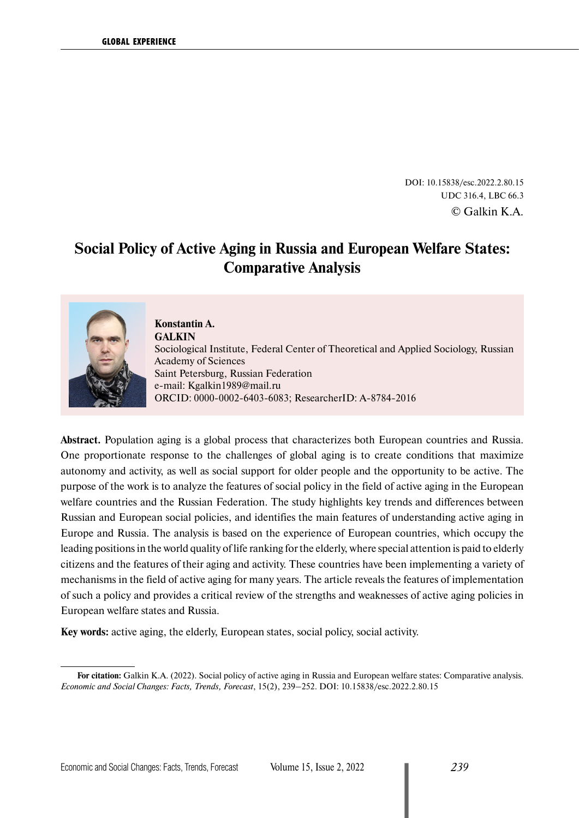DOI: 10.15838/esc.2022.2.80.15 UDC 316.4, LBC 66.3 © Galkin K.A.

# **Social Policy of Active Aging in Russia and European Welfare States: Comparative Analysis**



**Konstantin A. GALKIN** Sociological Institute, Federal Center of Theoretical and Applied Sociology, Russian Academy of Sciences Saint Petersburg, Russian Federation e-mail: [Kgalkin1989@mail.ru](mailto:Kgalkin1989@mail.ru) ORCID: [0000-0002-6403-6083](https://orcid.org/0000-0002-6403-6083); ResearcherID: [A-8784-2016](https://publons.com/researcher/2316964/konstantin-k-galkin/)

**Abstract.** Population aging is a global process that characterizes both European countries and Russia. One proportionate response to the challenges of global aging is to create conditions that maximize autonomy and activity, as well as social support for older people and the opportunity to be active. The purpose of the work is to analyze the features of social policy in the field of active aging in the European welfare countries and the Russian Federation. The study highlights key trends and differences between Russian and European social policies, and identifies the main features of understanding active aging in Europe and Russia. The analysis is based on the experience of European countries, which occupy the leading positions in the world quality of life ranking for the elderly, where special attention is paid to elderly citizens and the features of their aging and activity. These countries have been implementing a variety of mechanisms in the field of active aging for many years. The article reveals the features of implementation of such a policy and provides a critical review of the strengths and weaknesses of active aging policies in European welfare states and Russia.

**Key words:** active aging, the elderly, European states, social policy, social activity.

**For citation:** Galkin K.A. (2022). Social policy of active aging in Russia and European welfare states: Comparative analysis. *Economic and Social Changes: Facts, Trends, Forecast*, 15(2), 239–252. DOI: 10.15838/esc.2022.2.80.15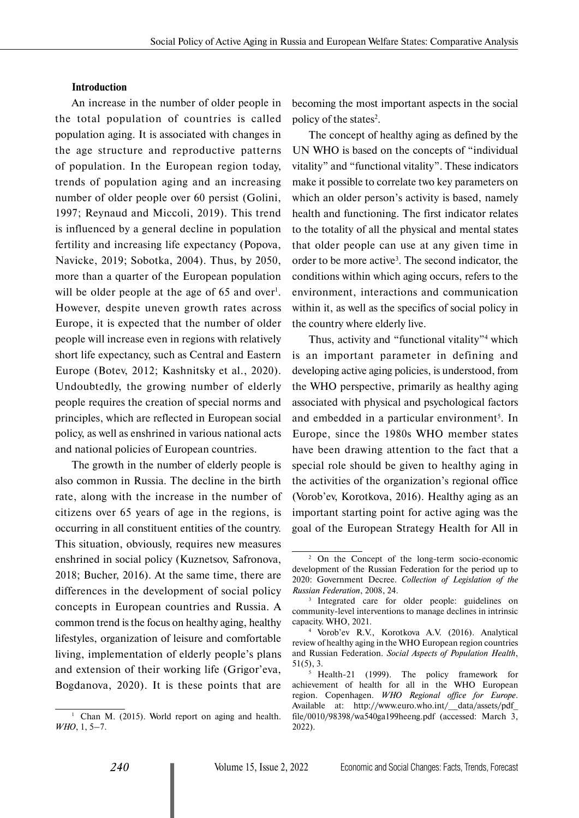#### **Introduction**

An increase in the number of older people in the total population of countries is called population aging. It is associated with changes in the age structure and reproductive patterns of population. In the European region today, trends of population aging and an increasing number of older people over 60 persist (Golini, 1997; Reynaud and Miccoli, 2019). This trend is influenced by a general decline in population fertility and increasing life expectancy (Popova, Navicke, 2019; Sobotka, 2004). Thus, by 2050, more than a quarter of the European population will be older people at the age of  $65$  and over<sup>1</sup>. However, despite uneven growth rates across Europe, it is expected that the number of older people will increase even in regions with relatively short life expectancy, such as Central and Eastern Europe (Botev, 2012; Kashnitsky et al., 2020). Undoubtedly, the growing number of elderly people requires the creation of special norms and principles, which are reflected in European social policy, as well as enshrined in various national acts and national policies of European countries.

The growth in the number of elderly people is also common in Russia. The decline in the birth rate, along with the increase in the number of citizens over 65 years of age in the regions, is occurring in all constituent entities of the country. This situation, obviously, requires new measures enshrined in social policy (Kuznetsov, Safronova, 2018; Bucher, 2016). At the same time, there are differences in the development of social policy concepts in European countries and Russia. A common trend is the focus on healthy aging, healthy lifestyles, organization of leisure and comfortable living, implementation of elderly people's plans and extension of their working life (Grigor'eva, Bogdanova, 2020). It is these points that are

<sup>1</sup> Chan M. (2015). World report on aging and health. *WHO*, 1, 5–7.

becoming the most important aspects in the social policy of the states<sup>2</sup>.

The concept of healthy aging as defined by the UN WHO is based on the concepts of "individual vitality" and "functional vitality". These indicators make it possible to correlate two key parameters on which an older person's activity is based, namely health and functioning. The first indicator relates to the totality of all the physical and mental states that older people can use at any given time in order to be more active3 . The second indicator, the conditions within which aging occurs, refers to the environment, interactions and communication within it, as well as the specifics of social policy in the country where elderly live.

Thus, activity and "functional vitality"4 which is an important parameter in defining and developing active aging policies, is understood, from the WHO perspective, primarily as healthy aging associated with physical and psychological factors and embedded in a particular environment<sup>5</sup>. In Europe, since the 1980s WHO member states have been drawing attention to the fact that a special role should be given to healthy aging in the activities of the organization's regional office (Vorob'ev, Korotkova, 2016). Healthy aging as an important starting point for active aging was the goal of the European Strategy Health for All in

<sup>2</sup> On the Concept of the long-term socio-economic development of the Russian Federation for the period up to 2020: Government Decree. *Collection of Legislation of the Russian Federation*, 2008, 24.

<sup>&</sup>lt;sup>3</sup> Integrated care for older people: guidelines on community-level interventions to manage declines in intrinsic capacity. WHO, 2021. 4 Vorob'ev R.V., Korotkova A.V. (2016). Analytical

review of healthy aging in the WHO European region countries and Russian Federation. *Social Aspects of Population Health*, 51(5), 3.

<sup>5</sup> Health-21 (1999). The policy framework for achievement of health for all in the WHO European region. Copenhagen. *WHO Regional office for Europe*. Available at: http://www.euro.who.int/\_\_data/assets/pdf\_ file/0010/98398/wa540ga199heeng.pdf (accessed: March 3, 2022).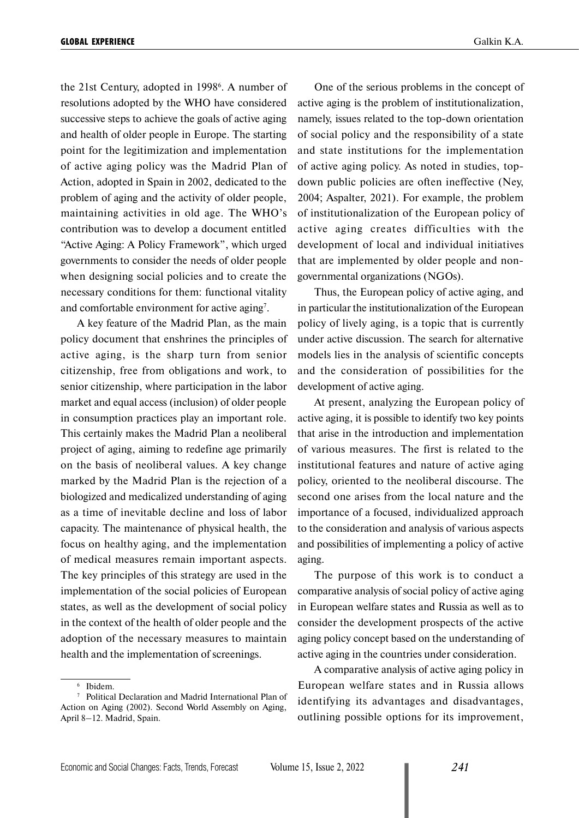the 21st Century, adopted in 1998<sup>6</sup>. A number of resolutions adopted by the WHO have considered successive steps to achieve the goals of active aging and health of older people in Europe. The starting point for the legitimization and implementation of active aging policy was the Madrid Plan of Action, adopted in Spain in 2002, dedicated to the problem of aging and the activity of older people, maintaining activities in old age. The WHO's contribution was to develop a document entitled "Active Aging: A Policy Framework", which urged governments to consider the needs of older people when designing social policies and to create the necessary conditions for them: functional vitality and comfortable environment for active aging<sup>7</sup>.

A key feature of the Madrid Plan, as the main policy document that enshrines the principles of active aging, is the sharp turn from senior citizenship, free from obligations and work, to senior citizenship, where participation in the labor market and equal access (inclusion) of older people in consumption practices play an important role. This certainly makes the Madrid Plan a neoliberal project of aging, aiming to redefine age primarily on the basis of neoliberal values. A key change marked by the Madrid Plan is the rejection of a biologized and medicalized understanding of aging as a time of inevitable decline and loss of labor capacity. The maintenance of physical health, the focus on healthy aging, and the implementation of medical measures remain important aspects. The key principles of this strategy are used in the implementation of the social policies of European states, as well as the development of social policy in the context of the health of older people and the adoption of the necessary measures to maintain health and the implementation of screenings.

One of the serious problems in the concept of active aging is the problem of institutionalization, namely, issues related to the top-down orientation of social policy and the responsibility of a state and state institutions for the implementation of active aging policy. As noted in studies, topdown public policies are often ineffective (Ney, 2004; Aspalter, 2021). For example, the problem of institutionalization of the European policy of active aging creates difficulties with the development of local and individual initiatives that are implemented by older people and nongovernmental organizations (NGOs).

Thus, the European policy of active aging, and in particular the institutionalization of the European policy of lively aging, is a topic that is currently under active discussion. The search for alternative models lies in the analysis of scientific concepts and the consideration of possibilities for the development of active aging.

At present, analyzing the European policy of active aging, it is possible to identify two key points that arise in the introduction and implementation of various measures. The first is related to the institutional features and nature of active aging policy, oriented to the neoliberal discourse. The second one arises from the local nature and the importance of a focused, individualized approach to the consideration and analysis of various aspects and possibilities of implementing a policy of active aging.

The purpose of this work is to conduct a comparative analysis of social policy of active aging in European welfare states and Russia as well as to consider the development prospects of the active aging policy concept based on the understanding of active aging in the countries under consideration.

A comparative analysis of active aging policy in European welfare states and in Russia allows identifying its advantages and disadvantages, outlining possible options for its improvement,

<sup>6</sup> Ibidem.

<sup>7</sup> Political Declaration and Madrid International Plan of Action on Aging (2002). Second World Assembly on Aging, April 8–12. Madrid, Spain.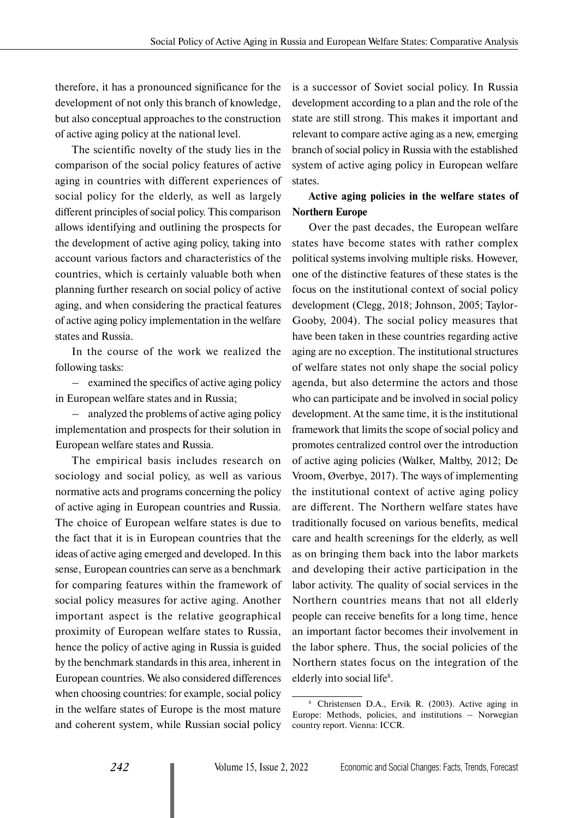therefore, it has a pronounced significance for the development of not only this branch of knowledge, but also conceptual approaches to the construction of active aging policy at the national level.

The scientific novelty of the study lies in the comparison of the social policy features of active aging in countries with different experiences of social policy for the elderly, as well as largely different principles of social policy. This comparison allows identifying and outlining the prospects for the development of active aging policy, taking into account various factors and characteristics of the countries, which is certainly valuable both when planning further research on social policy of active aging, and when considering the practical features of active aging policy implementation in the welfare states and Russia.

In the course of the work we realized the following tasks:

– examined the specifics of active aging policy in European welfare states and in Russia;

– analyzed the problems of active aging policy implementation and prospects for their solution in European welfare states and Russia.

The empirical basis includes research on sociology and social policy, as well as various normative acts and programs concerning the policy of active aging in European countries and Russia. The choice of European welfare states is due to the fact that it is in European countries that the ideas of active aging emerged and developed. In this sense, European countries can serve as a benchmark for comparing features within the framework of social policy measures for active aging. Another important aspect is the relative geographical proximity of European welfare states to Russia, hence the policy of active aging in Russia is guided by the benchmark standards in this area, inherent in European countries. We also considered differences when choosing countries: for example, social policy in the welfare states of Europe is the most mature and coherent system, while Russian social policy

is a successor of Soviet social policy. In Russia development according to a plan and the role of the state are still strong. This makes it important and relevant to compare active aging as a new, emerging branch of social policy in Russia with the established system of active aging policy in European welfare states.

# **Active aging policies in the welfare states of Northern Europe**

Over the past decades, the European welfare states have become states with rather complex political systems involving multiple risks. However, one of the distinctive features of these states is the focus on the institutional context of social policy development (Clegg, 2018; Johnson, 2005; Taylor-Gooby, 2004). The social policy measures that have been taken in these countries regarding active aging are no exception. The institutional structures of welfare states not only shape the social policy agenda, but also determine the actors and those who can participate and be involved in social policy development. At the same time, it is the institutional framework that limits the scope of social policy and promotes centralized control over the introduction of active aging policies (Walker, Maltby, 2012; De Vroom, Øverbye, 2017). The ways of implementing the institutional context of active aging policy are different. The Northern welfare states have traditionally focused on various benefits, medical care and health screenings for the elderly, as well as on bringing them back into the labor markets and developing their active participation in the labor activity. The quality of social services in the Northern countries means that not all elderly people can receive benefits for a long time, hence an important factor becomes their involvement in the labor sphere. Thus, the social policies of the Northern states focus on the integration of the elderly into social life<sup>8</sup>.

<sup>8</sup> Christensen D.A., Ervik R. (2003). Active aging in Europe: Methods, policies, and institutions – Norwegian country report. Vienna: ICCR.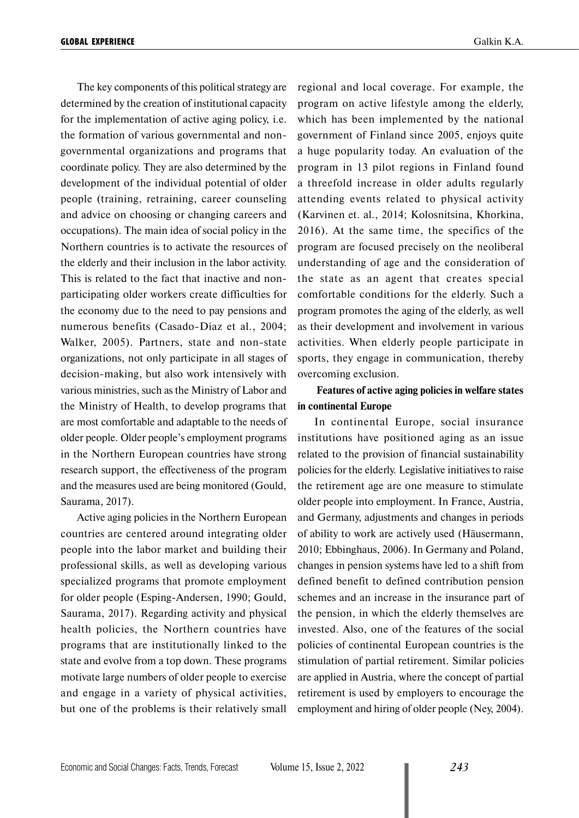The key components of this political strategy are determined by the creation of institutional capacity for the implementation of active aging policy, i.e. the formation of various governmental and nongovernmental organizations and programs that coordinate policy. They are also determined by the development of the individual potential of older people (training, retraining, career counseling and advice on choosing or changing careers and occupations). The main idea of social policy in the Northern countries is to activate the resources of the elderly and their inclusion in the labor activity. This is related to the fact that inactive and nonparticipating older workers create difficulties for the economy due to the need to pay pensions and numerous benefits (Casado-Díaz et al., 2004; Walker, 2005). Partners, state and non-state organizations, not only participate in all stages of decision-making, but also work intensively with various ministries, such as the Ministry of Labor and the Ministry of Health, to develop programs that are most comfortable and adaptable to the needs of older people. Older people's employment programs in the Northern European countries have strong research support, the effectiveness of the program and the measures used are being monitored (Gould, Saurama, 2017).

Active aging policies in the Northern European countries are centered around integrating older people into the labor market and building their professional skills, as well as developing various specialized programs that promote employment for older people (Esping-Andersen, 1990; Gould, Saurama, 2017). Regarding activity and physical health policies, the Northern countries have programs that are institutionally linked to the state and evolve from a top down. These programs motivate large numbers of older people to exercise and engage in a variety of physical activities, but one of the problems is their relatively small regional and local coverage. For example, the program on active lifestyle among the elderly, which has been implemented by the national government of Finland since 2005, enjoys quite a huge popularity today. An evaluation of the program in 13 pilot regions in Finland found a threefold increase in older adults regularly attending events related to physical activity (Karvinen et. al., 2014; Kolosnitsina, Khorkina, 2016). At the same time, the specifics of the program are focused precisely on the neoliberal understanding of age and the consideration of the state as an agent that creates special comfortable conditions for the elderly. Such a program promotes the aging of the elderly, as well as their development and involvement in various activities. When elderly people participate in sports, they engage in communication, thereby overcoming exclusion.

## **Features of active aging policies in welfare states in continental Europe**

In continental Europe, social insurance institutions have positioned aging as an issue related to the provision of financial sustainability policies for the elderly. Legislative initiatives to raise the retirement age are one measure to stimulate older people into employment. In France, Austria, and Germany, adjustments and changes in periods of ability to work are actively used (Häusermann, 2010; Ebbinghaus, 2006). In Germany and Poland, changes in pension systems have led to a shift from defined benefit to defined contribution pension schemes and an increase in the insurance part of the pension, in which the elderly themselves are invested. Also, one of the features of the social policies of continental European countries is the stimulation of partial retirement. Similar policies are applied in Austria, where the concept of partial retirement is used by employers to encourage the employment and hiring of older people (Ney, 2004).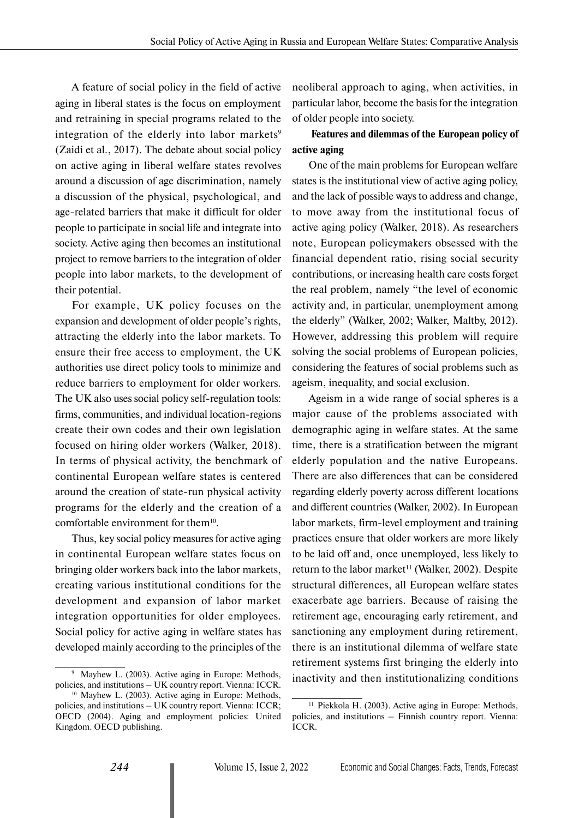A feature of social policy in the field of active aging in liberal states is the focus on employment and retraining in special programs related to the integration of the elderly into labor markets<sup>9</sup> (Zaidi et al., 2017). The debate about social policy on active aging in liberal welfare states revolves around a discussion of age discrimination, namely a discussion of the physical, psychological, and age-related barriers that make it difficult for older people to participate in social life and integrate into society. Active aging then becomes an institutional project to remove barriers to the integration of older people into labor markets, to the development of their potential.

For example, UK policy focuses on the expansion and development of older people's rights, attracting the elderly into the labor markets. To ensure their free access to employment, the UK authorities use direct policy tools to minimize and reduce barriers to employment for older workers. The UK also uses social policy self-regulation tools: firms, communities, and individual location-regions create their own codes and their own legislation focused on hiring older workers (Walker, 2018). In terms of physical activity, the benchmark of continental European welfare states is centered around the creation of state-run physical activity programs for the elderly and the creation of a comfortable environment for them<sup>10</sup>.

Thus, key social policy measures for active aging in continental European welfare states focus on bringing older workers back into the labor markets, creating various institutional conditions for the development and expansion of labor market integration opportunities for older employees. Social policy for active aging in welfare states has developed mainly according to the principles of the

neoliberal approach to aging, when activities, in particular labor, become the basis for the integration of older people into society.

# **Features and dilemmas of the European policy of active aging**

One of the main problems for European welfare states is the institutional view of active aging policy, and the lack of possible ways to address and change, to move away from the institutional focus of active aging policy (Walker, 2018). As researchers note, European policymakers obsessed with the financial dependent ratio, rising social security contributions, or increasing health care costs forget the real problem, namely "the level of economic activity and, in particular, unemployment among the elderly" (Walker, 2002; Walker, Maltby, 2012). However, addressing this problem will require solving the social problems of European policies, considering the features of social problems such as ageism, inequality, and social exclusion.

Ageism in a wide range of social spheres is a major cause of the problems associated with demographic aging in welfare states. At the same time, there is a stratification between the migrant elderly population and the native Europeans. There are also differences that can be considered regarding elderly poverty across different locations and different countries (Walker, 2002). In European labor markets, firm-level employment and training practices ensure that older workers are more likely to be laid off and, once unemployed, less likely to return to the labor market<sup>11</sup> (Walker, 2002). Despite structural differences, all European welfare states exacerbate age barriers. Because of raising the retirement age, encouraging early retirement, and sanctioning any employment during retirement, there is an institutional dilemma of welfare state retirement systems first bringing the elderly into inactivity and then institutionalizing conditions

<sup>9</sup> Mayhew L. (2003). Active aging in Europe: Methods, policies, and institutions – UK country report. Vienna: ICCR.

<sup>10</sup> Mayhew L. (2003). Active aging in Europe: Methods, policies, and institutions – UK country report. Vienna: ICCR; OECD (2004). Aging and employment policies: United Kingdom. OECD publishing.

<sup>&</sup>lt;sup>11</sup> Piekkola H. (2003). Active aging in Europe: Methods, policies, and institutions – Finnish country report. Vienna: ICCR.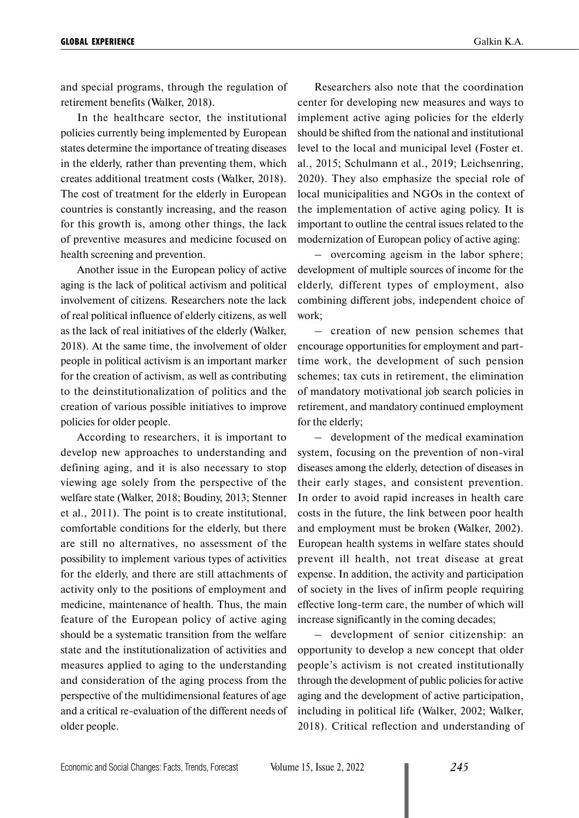and special programs, through the regulation of retirement benefits (Walker, 2018).

In the healthcare sector, the institutional policies currently being implemented by European states determine the importance of treating diseases in the elderly, rather than preventing them, which creates additional treatment costs (Walker, 2018). The cost of treatment for the elderly in European countries is constantly increasing, and the reason for this growth is, among other things, the lack of preventive measures and medicine focused on health screening and prevention.

Another issue in the European policy of active aging is the lack of political activism and political involvement of citizens. Researchers note the lack of real political influence of elderly citizens, as well as the lack of real initiatives of the elderly (Walker, 2018). At the same time, the involvement of older people in political activism is an important marker for the creation of activism, as well as contributing to the deinstitutionalization of politics and the creation of various possible initiatives to improve policies for older people.

According to researchers, it is important to develop new approaches to understanding and defining aging, and it is also necessary to stop viewing age solely from the perspective of the welfare state (Walker, 2018; Boudiny, 2013; Stenner et al., 2011). The point is to create institutional, comfortable conditions for the elderly, but there are still no alternatives, no assessment of the possibility to implement various types of activities for the elderly, and there are still attachments of activity only to the positions of employment and medicine, maintenance of health. Thus, the main feature of the European policy of active aging should be a systematic transition from the welfare state and the institutionalization of activities and measures applied to aging to the understanding and consideration of the aging process from the perspective of the multidimensional features of age and a critical re-evaluation of the different needs of older people.

Researchers also note that the coordination center for developing new measures and ways to implement active aging policies for the elderly should be shifted from the national and institutional level to the local and municipal level (Foster et. al., 2015; Schulmann et al., 2019; Leichsenring, 2020). They also emphasize the special role of local municipalities and NGOs in the context of the implementation of active aging policy. It is important to outline the central issues related to the modernization of European policy of active aging:

– overcoming ageism in the labor sphere; development of multiple sources of income for the elderly, different types of employment, also combining different jobs, independent choice of work;

– creation of new pension schemes that encourage opportunities for employment and parttime work, the development of such pension schemes; tax cuts in retirement, the elimination of mandatory motivational job search policies in retirement, and mandatory continued employment for the elderly;

– development of the medical examination system, focusing on the prevention of non-viral diseases among the elderly, detection of diseases in their early stages, and consistent prevention. In order to avoid rapid increases in health care costs in the future, the link between poor health and employment must be broken (Walker, 2002). European health systems in welfare states should prevent ill health, not treat disease at great expense. In addition, the activity and participation of society in the lives of infirm people requiring effective long-term care, the number of which will increase significantly in the coming decades;

– development of senior citizenship: an opportunity to develop a new concept that older people's activism is not created institutionally through the development of public policies for active aging and the development of active participation, including in political life (Walker, 2002; Walker, 2018). Critical reflection and understanding of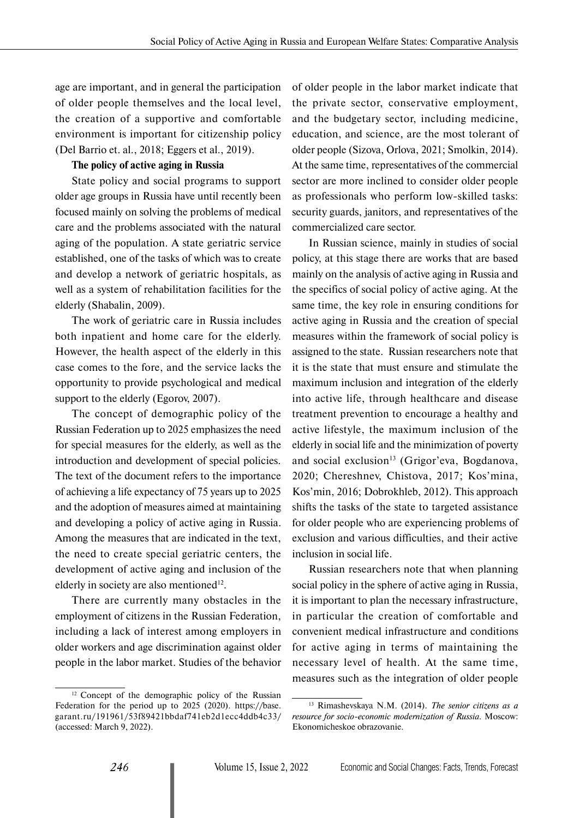age are important, and in general the participation of older people themselves and the local level, the creation of a supportive and comfortable environment is important for citizenship policy (Del Barrio et. al., 2018; Eggers et al., 2019).

#### **The policy of active aging in Russia**

State policy and social programs to support older age groups in Russia have until recently been focused mainly on solving the problems of medical care and the problems associated with the natural aging of the population. A state geriatric service established, one of the tasks of which was to create and develop a network of geriatric hospitals, as well as a system of rehabilitation facilities for the elderly (Shabalin, 2009).

The work of geriatric care in Russia includes both inpatient and home care for the elderly. However, the health aspect of the elderly in this case comes to the fore, and the service lacks the opportunity to provide psychological and medical support to the elderly (Egorov, 2007).

The concept of demographic policy of the Russian Federation up to 2025 emphasizes the need for special measures for the elderly, as well as the introduction and development of special policies. The text of the document refers to the importance of achieving a life expectancy of 75 years up to 2025 and the adoption of measures aimed at maintaining and developing a policy of active aging in Russia. Among the measures that are indicated in the text, the need to create special geriatric centers, the development of active aging and inclusion of the elderly in society are also mentioned<sup>12</sup>.

There are currently many obstacles in the employment of citizens in the Russian Federation, including a lack of interest among employers in older workers and age discrimination against older people in the labor market. Studies of the behavior

of older people in the labor market indicate that the private sector, conservative employment, and the budgetary sector, including medicine, education, and science, are the most tolerant of older people (Sizova, Orlova, 2021; Smolkin, 2014). At the same time, representatives of the commercial sector are more inclined to consider older people as professionals who perform low-skilled tasks: security guards, janitors, and representatives of the commercialized care sector.

In Russian science, mainly in studies of social policy, at this stage there are works that are based mainly on the analysis of active aging in Russia and the specifics of social policy of active aging. At the same time, the key role in ensuring conditions for active aging in Russia and the creation of special measures within the framework of social policy is assigned to the state. Russian researchers note that it is the state that must ensure and stimulate the maximum inclusion and integration of the elderly into active life, through healthcare and disease treatment prevention to encourage a healthy and active lifestyle, the maximum inclusion of the elderly in social life and the minimization of poverty and social exclusion<sup>13</sup> (Grigor'eva, Bogdanova, 2020; Chereshnev, Chistova, 2017; Kos'mina, Kos'min, 2016; Dobrokhleb, 2012). This approach shifts the tasks of the state to targeted assistance for older people who are experiencing problems of exclusion and various difficulties, and their active inclusion in social life.

Russian researchers note that when planning social policy in the sphere of active aging in Russia, it is important to plan the necessary infrastructure, in particular the creation of comfortable and convenient medical infrastructure and conditions for active aging in terms of maintaining the necessary level of health. At the same time, measures such as the integration of older people

<sup>&</sup>lt;sup>12</sup> Concept of the demographic policy of the Russian Federation for the period up to 2025 (2020). [https://base.](https://base.garant.ru/191961/53f89421bbdaf741eb2d1ecc4ddb4c33/) [garant.ru/191961/53f89421bbdaf741eb2d1ecc4ddb4c33/](https://base.garant.ru/191961/53f89421bbdaf741eb2d1ecc4ddb4c33/) (accessed: March 9, 2022).

<sup>13</sup> Rimashevskaya N.M. (2014). *The senior citizens as a resource for socio-economic modernization of Russia.* Moscow: Ekonomicheskoe obrazovanie.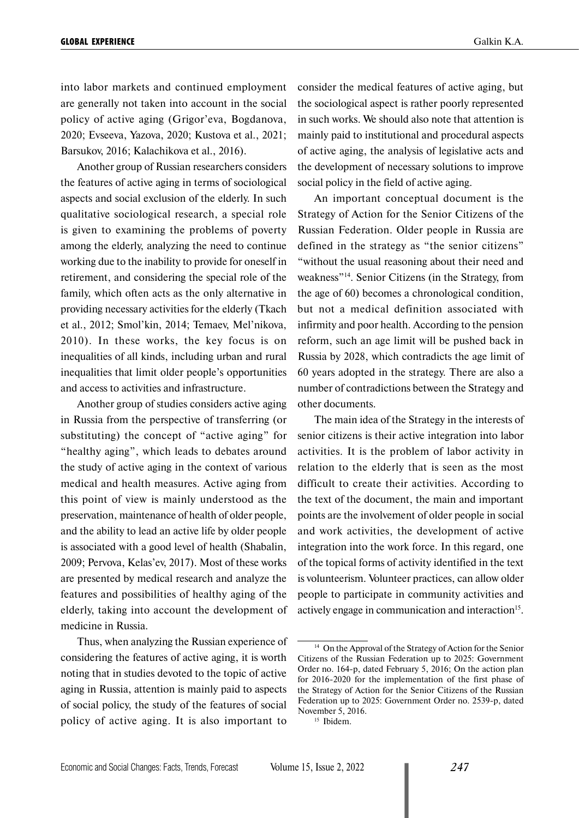into labor markets and continued employment are generally not taken into account in the social policy of active aging (Grigor'eva, Bogdanova, 2020; Evseeva, Yazova, 2020; Kustova et al., 2021; Barsukov, 2016; Kalachikova et al., 2016).

Another group of Russian researchers considers the features of active aging in terms of sociological aspects and social exclusion of the elderly. In such qualitative sociological research, a special role is given to examining the problems of poverty among the elderly, analyzing the need to continue working due to the inability to provide for oneself in retirement, and considering the special role of the family, which often acts as the only alternative in providing necessary activities for the elderly (Tkach et al., 2012; Smol'kin, 2014; Temaev, Mel'nikova, 2010). In these works, the key focus is on inequalities of all kinds, including urban and rural inequalities that limit older people's opportunities and access to activities and infrastructure.

Another group of studies considers active aging in Russia from the perspective of transferring (or substituting) the concept of "active aging" for "healthy aging", which leads to debates around the study of active aging in the context of various medical and health measures. Active aging from this point of view is mainly understood as the preservation, maintenance of health of older people, and the ability to lead an active life by older people is associated with a good level of health (Shabalin, 2009; Pervova, Kelas'ev, 2017). Most of these works are presented by medical research and analyze the features and possibilities of healthy aging of the elderly, taking into account the development of medicine in Russia.

Thus, when analyzing the Russian experience of considering the features of active aging, it is worth noting that in studies devoted to the topic of active aging in Russia, attention is mainly paid to aspects of social policy, the study of the features of social policy of active aging. It is also important to

consider the medical features of active aging, but the sociological aspect is rather poorly represented in such works. We should also note that attention is mainly paid to institutional and procedural aspects of active aging, the analysis of legislative acts and the development of necessary solutions to improve social policy in the field of active aging.

An important conceptual document is the Strategy of Action for the Senior Citizens of the Russian Federation. Older people in Russia are defined in the strategy as "the senior citizens" "without the usual reasoning about their need and weakness"14. Senior Citizens (in the Strategy, from the age of 60) becomes a chronological condition, but not a medical definition associated with infirmity and poor health. According to the pension reform, such an age limit will be pushed back in Russia by 2028, which contradicts the age limit of 60 years adopted in the strategy. There are also a number of contradictions between the Strategy and other documents.

The main idea of the Strategy in the interests of senior citizens is their active integration into labor activities. It is the problem of labor activity in relation to the elderly that is seen as the most difficult to create their activities. According to the text of the document, the main and important points are the involvement of older people in social and work activities, the development of active integration into the work force. In this regard, one of the topical forms of activity identified in the text is volunteerism. Volunteer practices, can allow older people to participate in community activities and actively engage in communication and interaction<sup>15</sup>.

<sup>&</sup>lt;sup>14</sup> On the Approval of the Strategy of Action for the Senior Citizens of the Russian Federation up to 2025: Government Order no. 164-p, dated February 5, 2016; On the action plan for 2016-2020 for the implementation of the first phase of the Strategy of Action for the Senior Citizens of the Russian Federation up to 2025: Government Order no. 2539-p, dated November 5, 2016.

<sup>&</sup>lt;sup>15</sup> Ibidem.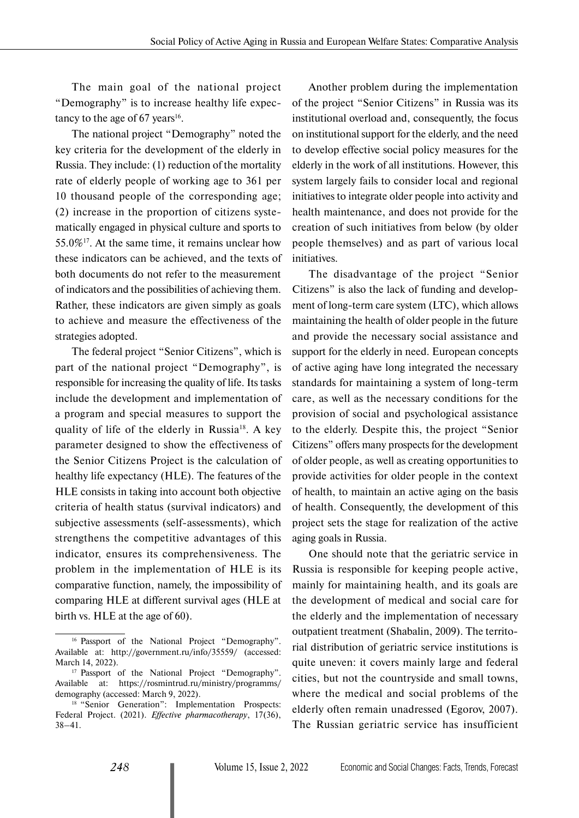The main goal of the national project "Demography" is to increase healthy life expectancy to the age of 67 years<sup>16</sup>.

The national project "Demography" noted the key criteria for the development of the elderly in Russia. They include: (1) reduction of the mortality rate of elderly people of working age to 361 per 10 thousand people of the corresponding age; (2) increase in the proportion of citizens systematically engaged in physical culture and sports to 55.0% $^{17}$ . At the same time, it remains unclear how these indicators can be achieved, and the texts of both documents do not refer to the measurement of indicators and the possibilities of achieving them. Rather, these indicators are given simply as goals to achieve and measure the effectiveness of the strategies adopted.

The federal project "Senior Citizens", which is part of the national project "Demography", is responsible for increasing the quality of life. Its tasks include the development and implementation of a program and special measures to support the quality of life of the elderly in Russia<sup>18</sup>. A key parameter designed to show the effectiveness of the Senior Citizens Project is the calculation of healthy life expectancy (HLE). The features of the HLE consists in taking into account both objective criteria of health status (survival indicators) and subjective assessments (self-assessments), which strengthens the competitive advantages of this indicator, ensures its comprehensiveness. The problem in the implementation of HLE is its comparative function, namely, the impossibility of comparing HLE at different survival ages (HLE at birth vs. HLE at the age of 60).

Another problem during the implementation of the project "Senior Citizens" in Russia was its institutional overload and, consequently, the focus on institutional support for the elderly, and the need to develop effective social policy measures for the elderly in the work of all institutions. However, this system largely fails to consider local and regional initiatives to integrate older people into activity and health maintenance, and does not provide for the creation of such initiatives from below (by older people themselves) and as part of various local initiatives.

The disadvantage of the project "Senior Citizens" is also the lack of funding and development of long-term care system (LTC), which allows maintaining the health of older people in the future and provide the necessary social assistance and support for the elderly in need. European concepts of active aging have long integrated the necessary standards for maintaining a system of long-term care, as well as the necessary conditions for the provision of social and psychological assistance to the elderly. Despite this, the project "Senior Citizens" offers many prospects for the development of older people, as well as creating opportunities to provide activities for older people in the context of health, to maintain an active aging on the basis of health. Consequently, the development of this project sets the stage for realization of the active aging goals in Russia.

One should note that the geriatric service in Russia is responsible for keeping people active, mainly for maintaining health, and its goals are the development of medical and social care for the elderly and the implementation of necessary outpatient treatment (Shabalin, 2009). The territorial distribution of geriatric service institutions is quite uneven: it covers mainly large and federal cities, but not the countryside and small towns, where the medical and social problems of the elderly often remain unadressed (Egorov, 2007). The Russian geriatric service has insufficient

<sup>&</sup>lt;sup>16</sup> Passport of the National Project "Demography". Available at: <http://government.ru/info/35559/>(accessed: March 14, 2022).<br><sup>17</sup> Passport of the National Project "Demography".

Available at: https://rosmintrud.ru/ministry/programms/ demography (accessed: March 9, 2022).

<sup>&</sup>lt;sup>18</sup> "Senior Generation": Implementation Prospects: Federal Project. (2021). *Effective pharmacotherapy*, 17(36), 38–41.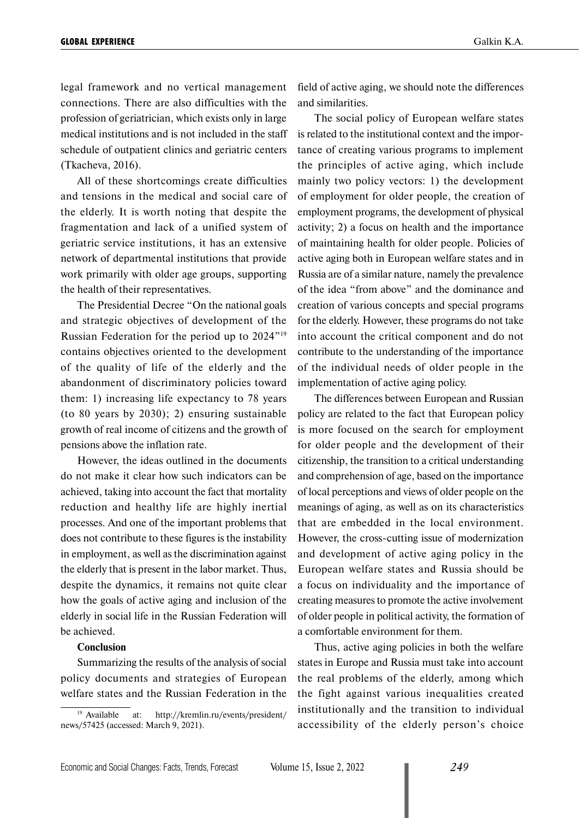legal framework and no vertical management connections. There are also difficulties with the profession of geriatrician, which exists only in large medical institutions and is not included in the staff schedule of outpatient clinics and geriatric centers (Tkacheva, 2016).

All of these shortcomings create difficulties and tensions in the medical and social care of the elderly. It is worth noting that despite the fragmentation and lack of a unified system of geriatric service institutions, it has an extensive network of departmental institutions that provide work primarily with older age groups, supporting the health of their representatives.

The Presidential Decree "On the national goals and strategic objectives of development of the Russian Federation for the period up to 2024"19 contains objectives oriented to the development of the quality of life of the elderly and the abandonment of discriminatory policies toward them: 1) increasing life expectancy to 78 years (to 80 years by 2030); 2) ensuring sustainable growth of real income of citizens and the growth of pensions above the inflation rate.

However, the ideas outlined in the documents do not make it clear how such indicators can be achieved, taking into account the fact that mortality reduction and healthy life are highly inertial processes. And one of the important problems that does not contribute to these figures is the instability in employment, as well as the discrimination against the elderly that is present in the labor market. Thus, despite the dynamics, it remains not quite clear how the goals of active aging and inclusion of the elderly in social life in the Russian Federation will be achieved.

#### **Conclusion**

Summarizing the results of the analysis of social policy documents and strategies of European welfare states and the Russian Federation in the field of active aging, we should note the differences and similarities.

The social policy of European welfare states is related to the institutional context and the importance of creating various programs to implement the principles of active aging, which include mainly two policy vectors: 1) the development of employment for older people, the creation of employment programs, the development of physical activity; 2) a focus on health and the importance of maintaining health for older people. Policies of active aging both in European welfare states and in Russia are of a similar nature, namely the prevalence of the idea "from above" and the dominance and creation of various concepts and special programs for the elderly. However, these programs do not take into account the critical component and do not contribute to the understanding of the importance of the individual needs of older people in the implementation of active aging policy.

The differences between European and Russian policy are related to the fact that European policy is more focused on the search for employment for older people and the development of their citizenship, the transition to a critical understanding and comprehension of age, based on the importance of local perceptions and views of older people on the meanings of aging, as well as on its characteristics that are embedded in the local environment. However, the cross-cutting issue of modernization and development of active aging policy in the European welfare states and Russia should be a focus on individuality and the importance of creating measures to promote the active involvement of older people in political activity, the formation of a comfortable environment for them.

Thus, active aging policies in both the welfare states in Europe and Russia must take into account the real problems of the elderly, among which the fight against various inequalities created institutionally and the transition to individual accessibility of the elderly person's choice

<sup>19</sup> Available at: http://kremlin.ru/events/president/ news/57425 (accessed: March 9, 2021).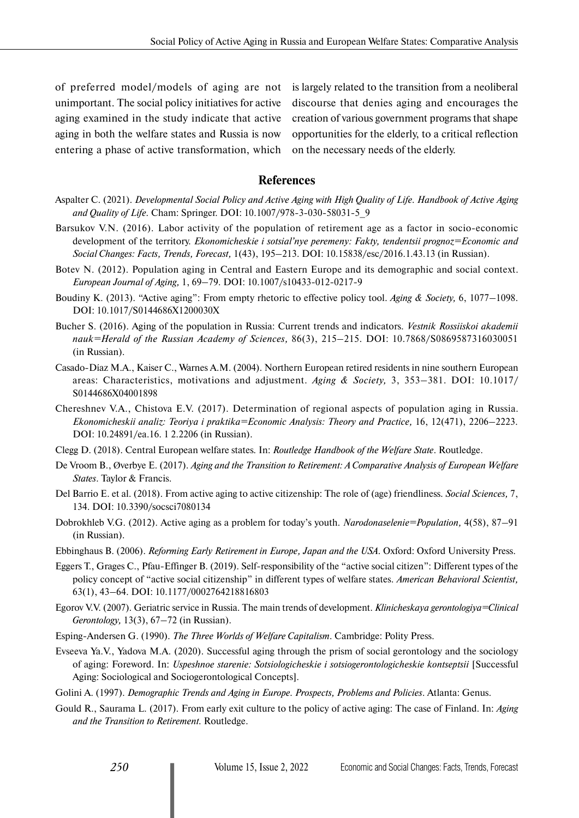of preferred model/models of aging are not unimportant. The social policy initiatives for active aging examined in the study indicate that active aging in both the welfare states and Russia is now entering a phase of active transformation, which

is largely related to the transition from a neoliberal discourse that denies aging and encourages the creation of various government programs that shape opportunities for the elderly, to a critical reflection on the necessary needs of the elderly.

### **References**

- Aspalter C. (2021). *Developmental Social Policy and Active Aging with High Quality of Life. Handbook of Active Aging and Quality of Life.* Cham: Springer. DOI: 10.1007/978-3-030-58031-5\_9
- Barsukov V.N. (2016). Labor activity of the population of retirement age as a factor in socio-economic development of the territory. *Ekonomicheskie i sotsial'nye peremeny: Fakty, tendentsii prognoz=Economic and Social Changes: Facts, Trends, Forecast,* 1(43), 195–213. DOI: 10.15838/esc/2016.1.43.13 (in Russian).
- Botev N. (2012). Population aging in Central and Eastern Europe and its demographic and social context. *European Journal of Aging,* 1, 69–79. DOI: 10.1007/s10433-012-0217-9
- Boudiny K. (2013). "Active aging": From empty rhetoric to effective policy tool. *Aging & Society,* 6, 1077–1098. DOI: 10.1017/S0144686X1200030X
- Bucher S. (2016). Aging of the population in Russia: Current trends and indicators. *Vestnik Rossiiskoi akademii nauk=Herald of the Russian Academy of Sciences,* 86(3), 215–215. DOI: 10.7868/S0869587316030051 (in Russian).
- Casado-Díaz M.A., Kaiser C., Warnes A.M. (2004). Northern European retired residents in nine southern European areas: Characteristics, motivations and adjustment. *Aging & Society,* 3, 353–381. DOI: [10.1017/](https://doi.org/10.1017/S0144686X04001898) [S0144686X04001898](https://doi.org/10.1017/S0144686X04001898)
- Chereshnev V.A., Chistova E.V. (2017). Determination of regional aspects of population aging in Russia. *Ekonomicheskii analiz: Teoriya i praktika=Economic Analysis: Theory and Practice,* 16, 12(471), 2206–2223. DOI: 10.24891/ea.16. 1 2.2206 (in Russian).
- Clegg D. (2018). Central European welfare states*.* In: *Routledge Handbook of the Welfare State*. Routledge.
- De Vroom B., Øverbye E. (2017). *Aging and the Transition to Retirement: A Comparative Analysis of European Welfare States*. Taylor & Francis.
- Del Barrio E. et al. (2018). From active aging to active citizenship: The role of (age) friendliness. *Social Sciences,* 7, 134. DOI: 10.3390/socsci7080134
- Dobrokhleb V.G. (2012). Active aging as a problem for today's youth. *Narodonaselenie=Population,* 4(58), 87–91 (in Russian).
- Ebbinghaus B. (2006). *Reforming Early Retirement in Europe, Japan and the USA*. Oxford: Oxford University Press.
- Eggers T., Grages C., Pfau-Effinger B. (2019). Self-responsibility of the "active social citizen": Different types of the policy concept of "active social citizenship" in different types of welfare states. *American Behavioral Scientist,* 63(1), 43–64. DOI: 10.1177/0002764218816803
- Egorov V.V. (2007). Geriatric service in Russia. The main trends of development. *Klinicheskaya gerontologiya=Clinical Gerontology,* 13(3), 67–72 (in Russian).
- Esping-Andersen G. (1990). *The Three Worlds of Welfare Capitalism*. Cambridge: Polity Press.
- Evseeva Ya.V., Yadova M.A. (2020). Successful aging through the prism of social gerontology and the sociology of aging: Foreword. In: *Uspeshnoe starenie: Sotsiologicheskie i sotsiogerontologicheskie kontseptsii* [Successful Aging: Sociological and Sociogerontological Concepts].
- Golini A. (1997). *Demographic Trends and Aging in Europe. Prospects, Problems and Policies*. Atlanta: Genus.
- Gould R., Saurama L. (2017). From early exit culture to the policy of active aging: The case of Finland. In: *Aging and the Transition to Retirement.* Routledge.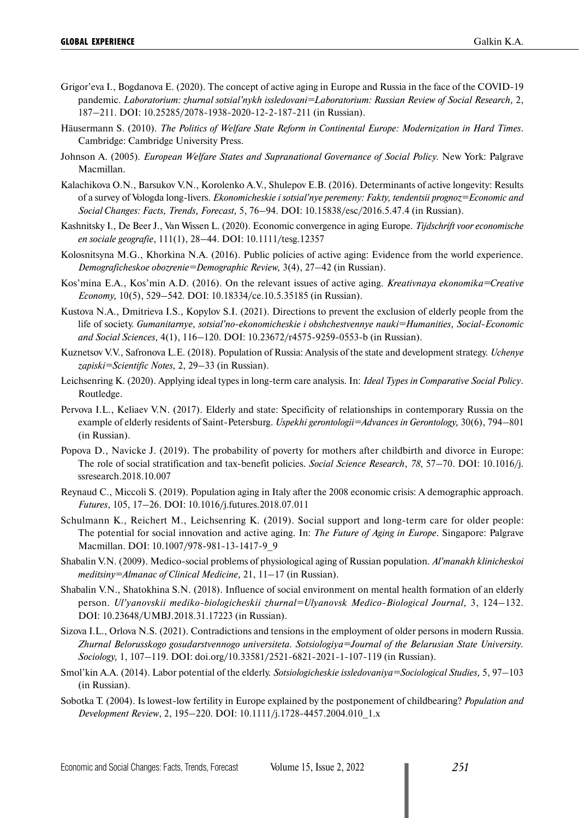- Grigor'eva I., Bogdanova E. (2020). The concept of active aging in Europe and Russia in the face of the COVID-19 pandemic. *Laboratorium: zhurnal sotsial'nykh issledovani=Laboratorium: Russian Review of Social Research,* 2, 187–211. DOI: 10.25285/2078-1938-2020-12-2-187-211 (in Russian).
- Häusermann S. (2010). *The Politics of Welfare State Reform in Continental Europe: Modernization in Hard Times*. Cambridge: Cambridge University Press.
- Johnson A. (2005)*. European Welfare States and Supranational Governance of Social Policy.* New York: Palgrave Macmillan.
- Kalachikova O.N., Barsukov V.N., Korolenko A.V., Shulepov E.B. (2016). Determinants of active longevity: Results of a survey of Vologda long-livers. *Ekonomicheskie i sotsial'nye peremeny: Fakty, tendentsii prognoz=Economic and Social Changes: Facts, Trends, Forecast,* 5, 76–94. DOI: 10.15838/esc/2016.5.47.4 (in Russian).
- Kashnitsky I., De Beer J., Van Wissen L. (2020). Economic convergence in aging Europe. *Tijdschrift voor economische en sociale geografie*, 111(1), 28–44. DOI: 10.1111/tesg.12357
- Kolosnitsyna M.G., Khorkina N.A. (2016). Public policies of active aging: Evidence from the world experience. *Demograficheskoe obozrenie=Demographic Review,* 3(4), 27–42 (in Russian).
- Kos'mina E.A., Kos'min A.D. (2016). On the relevant issues of active aging. *Kreativnaya ekonomika=Creative Economy,* 10(5), 529–542. DOI: 10.18334/ce.10.5.35185 (in Russian).
- Kustova N.A., Dmitrieva I.S., Kopylov S.I. (2021). Directions to prevent the exclusion of elderly people from the life of society. *Gumanitarnye, sotsial'no-ekonomicheskie i obshchestvennye nauki=Humanities, Social-Economic and Social Sciences,* 4(1), 116–120. DOI: 10.23672/r4575-9259-0553-b (in Russian).
- Kuznetsov V.V., Safronova L.E. (2018). Population of Russia: Analysis of the state and development strategy. *Uchenye zapiski=Scientific Notes,* 2, 29–33 (in Russian).
- Leichsenring K. (2020). Applying ideal types in long-term care analysis. In: *Ideal Types in Comparative Social Policy*. Routledge.
- Pervova I.L., Keliaev V.N. (2017). Elderly and state: Specificity of relationships in contemporary Russia on the example of elderly residents of Saint-Petersburg. *Uspekhi gerontologii=Advances in Gerontology,* 30(6), 794–801 (in Russian).
- Popova D., Navicke J. (2019). The probability of poverty for mothers after childbirth and divorce in Europe: The role of social stratification and tax-benefit policies. *Social Science Research*, *78*, 57–70. DOI: 10.1016/j. ssresearch.2018.10.007
- Reynaud C., Miccoli S. (2019). Population aging in Italy after the 2008 economic crisis: A demographic approach. *Futures*, 105, 17–26. DOI: 10.1016/j.futures.2018.07.011
- Schulmann K., Reichert M., Leichsenring K. (2019). Social support and long-term care for older people: The potential for social innovation and active aging. In: *The Future of Aging in Europe*. Singapore: Palgrave Macmillan. DOI: 10.1007/978-981-13-1417-9\_9
- Shabalin V.N. (2009). Medico-social problems of physiological aging of Russian population. *Al'manakh klinicheskoi meditsiny=Almanac of Clinical Medicine,* 21, 11–17 (in Russian).
- Shabalin V.N., Shatokhina S.N. (2018). Influence of social environment on mental health formation of an elderly person. *Ul'yanovskii mediko-biologicheskii zhurnal=Ulyanovsk Medico-Biological Journal,* 3, 124–132. DOI: 10.23648/UMBJ.2018.31.17223 (in Russian).
- Sizova I.L., Orlova N.S. (2021). Contradictions and tensions in the employment of older persons in modern Russia. *Zhurnal Belorusskogo gosudarstvennogo universiteta. Sotsiologiya=Journal of the Belarusian State University. Sociology,* 1, 107–119. DOI: [doi.org/10.33581/2521-6821-2021-1-107-119](https://doi.org/10.33581/2521-6821-2021-1-107-119) (in Russian).
- Smol'kin A.A. (2014). Labor potential of the elderly. *Sotsiologicheskie issledovaniya=Sociological Studies,* 5, 97–103 (in Russian).
- Sobotka T. (2004). Is lowest-low fertility in Europe explained by the postponement of childbearing? *Population and Development Review*, 2, 195–220. DOI: 10.1111/j.1728-4457.2004.010\_1.x